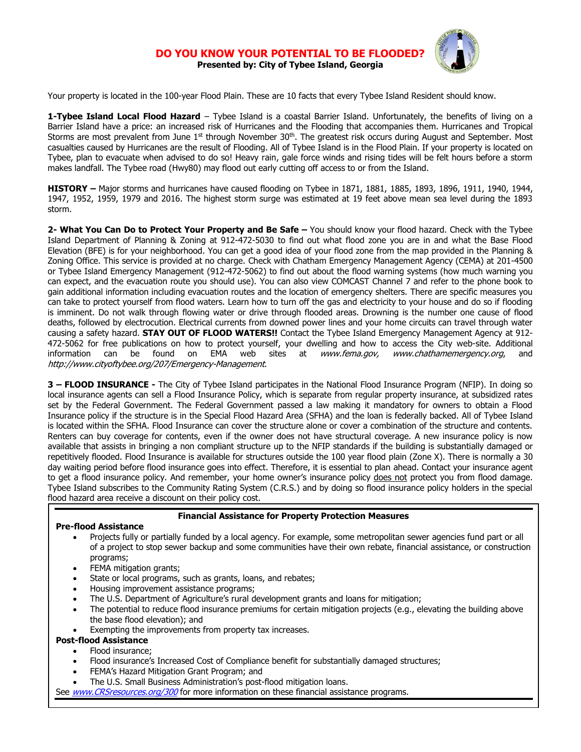## **DO YOU KNOW YOUR POTENTIAL TO BE Presented by: City of Tybee Island, Georgia**



Your property is located in the 100-year Flood Plain. These are 10 facts that every Tybee Island Resident should know.

**1-Tybee Island Local Flood Hazard** – Tybee Island is a coastal Barrier Island. Unfortunately, the benefits of living on a Barrier Island have a price: an increased risk of Hurricanes and the Flooding that accompanies them. Hurricanes and Tropical Storms are most prevalent from June  $1<sup>st</sup>$  through November  $30<sup>th</sup>$ . The greatest risk occurs during August and September. Most casualties caused by Hurricanes are the result of Flooding. All of Tybee Island is in the Flood Plain. If your property is located on Tybee, plan to evacuate when advised to do so! Heavy rain, gale force winds and rising tides will be felt hours before a storm makes landfall. The Tybee road (Hwy80) may flood out early cutting off access to or from the Island.

**HISTORY –** Major storms and hurricanes have caused flooding on Tybee in 1871, 1881, 1885, 1893, 1896, 1911, 1940, 1944, 1947, 1952, 1959, 1979 and 2016. The highest storm surge was estimated at 19 feet above mean sea level during the 1893 storm.

**2- What You Can Do to Protect Your Property and Be Safe –** You should know your flood hazard. Check with the Tybee Island Department of Planning & Zoning at 912-472-5030 to find out what flood zone you are in and what the Base Flood Elevation (BFE) is for your neighborhood. You can get a good idea of your flood zone from the map provided in the Planning & Zoning Office. This service is provided at no charge. Check with Chatham Emergency Management Agency (CEMA) at 201-4500 or Tybee Island Emergency Management (912-472-5062) to find out about the flood warning systems (how much warning you can expect, and the evacuation route you should use). You can also view COMCAST Channel 7 and refer to the phone book to gain additional information including evacuation routes and the location of emergency shelters. There are specific measures you can take to protect yourself from flood waters. Learn how to turn off the gas and electricity to your house and do so if flooding is imminent. Do not walk through flowing water or drive through flooded areas. Drowning is the number one cause of flood deaths, followed by electrocution. Electrical currents from downed power lines and your home circuits can travel through water causing a safety hazard. **STAY OUT OF FLOOD WATERS!!** Contact the Tybee Island Emergency Management Agency at 912- 472-5062 for free publications on how to protect yourself, your dwelling and how to access the City web-site. Additional information can be found on EMA web sites at [www.fema.gov,](http://www.fema.gov/) [www.chathamemergency.org](http://www.chathamemergency.org/), http://www.cityoftybee.org/207/Emergency-Management.

**3 – FLOOD INSURANCE -** The City of Tybee Island participates in the National Flood Insurance Program (NFIP). In doing so local insurance agents can sell a Flood Insurance Policy, which is separate from regular property insurance, at subsidized rates set by the Federal Government. The Federal Government passed a law making it mandatory for owners to obtain a Flood Insurance policy if the structure is in the Special Flood Hazard Area (SFHA) and the loan is federally backed. All of Tybee Island is located within the SFHA. Flood Insurance can cover the structure alone or cover a combination of the structure and contents. Renters can buy coverage for contents, even if the owner does not have structural coverage. A new insurance policy is now available that assists in bringing a non compliant structure up to the NFIP standards if the building is substantially damaged or repetitively flooded. Flood Insurance is available for structures outside the 100 year flood plain (Zone X). There is normally a 30 day waiting period before flood insurance goes into effect. Therefore, it is essential to plan ahead. Contact your insurance agent to get a flood insurance policy. And remember, your home owner's insurance policy does not protect you from flood damage. Tybee Island subscribes to the Community Rating System (C.R.S.) and by doing so flood insurance policy holders in the special flood hazard area receive a discount on their policy cost.

## **Financial Assistance for Property Protection Measures**

## **Pre-flood Assistance**

- Projects fully or partially funded by a local agency. For example, some metropolitan sewer agencies fund part or all of a project to stop sewer backup and some communities have their own rebate, financial assistance, or construction programs;
- FEMA mitigation grants;
- State or local programs, such as grants, loans, and rebates;
- Housing improvement assistance programs;
- The U.S. Department of Agriculture's rural development grants and loans for mitigation;
- The potential to reduce flood insurance premiums for certain mitigation projects (e.g., elevating the building above the base flood elevation); and
- Exempting the improvements from property tax increases.

## **Post-flood Assistance**

- Flood insurance;
- Flood insurance's Increased Cost of Compliance benefit for substantially damaged structures;
- FEMA's Hazard Mitigation Grant Program; and
- The U.S. Small Business Administration's post-flood mitigation loans.
- See *[www.CRSresources.org/300](http://www.crsresources.org/300)* for more information on these financial assistance programs.